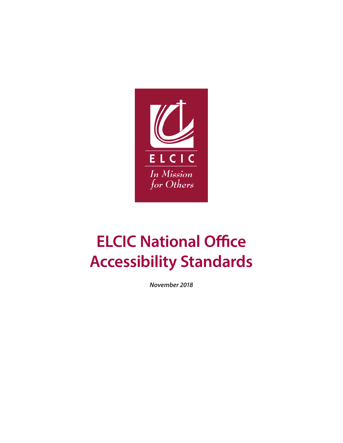

*November 2018*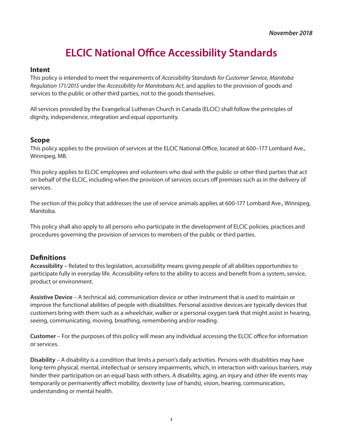#### **Intent**

This policy is intended to meet the requirements of *Accessibility Standards for Customer Service, Manitoba Regulation 171/2015* under the *Accessibility for Manitobans Act*, and applies to the provision of goods and services to the public or other third parties, not to the goods themselves.

All services provided by the Evangelical Lutheran Church in Canada (ELCIC) shall follow the principles of dignity, independence, integration and equal opportunity.

#### **Scope**

This policy applies to the provision of services at the ELCIC National Office, located at 600–177 Lombard Ave., Winnipeg, MB.

This policy applies to ELCIC employees and volunteers who deal with the public or other third parties that act on behalf of the ELCIC, including when the provision of services occurs off premises such as in the delivery of services.

The section of this policy that addresses the use of service animals applies at 600-177 Lombard Ave., Winnipeg, Manitoba.

This policy shall also apply to all persons who participate in the development of ELCIC policies, practices and procedures governing the provision of services to members of the public or third parties.

#### **Definitions**

**Accessibility** – Related to this legislation, accessibility means giving people of all abilities opportunities to participate fully in everyday life. Accessibility refers to the ability to access and benefit from a system, service, product or environment.

**Assistive Device** – A technical aid, communication device or other instrument that is used to maintain or improve the functional abilities of people with disabilities. Personal assistive devices are typically devices that customers bring with them such as a wheelchair, walker or a personal oxygen tank that might assist in hearing, seeing, communicating, moving, breathing, remembering and/or reading.

**Customer** – For the purposes of this policy will mean any individual accessing the ELCIC office for information or services.

**Disability** – A disability is a condition that limits a person's daily activities. Persons with disabilities may have long-term physical, mental, intellectual or sensory impairments, which, in interaction with various barriers, may hinder their participation on an equal basis with others. A disability, aging, an injury and other life events may temporarily or permanently affect mobility, dexterity (use of hands), vision, hearing, communication, understanding or mental health.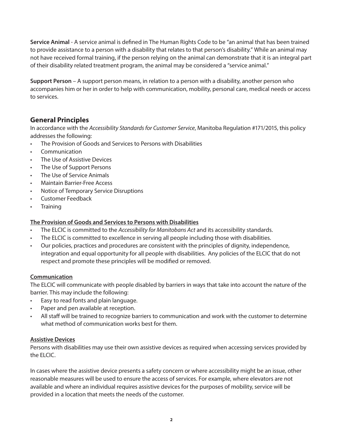**Service Animal** - A service animal is defined in The Human Rights Code to be "an animal that has been trained to provide assistance to a person with a disability that relates to that person's disability." While an animal may not have received formal training, if the person relying on the animal can demonstrate that it is an integral part of their disability related treatment program, the animal may be considered a "service animal."

**Support Person** – A support person means, in relation to a person with a disability, another person who accompanies him or her in order to help with communication, mobility, personal care, medical needs or access to services.

#### **General Principles**

In accordance with the *Accessibility Standards for Customer Service*, Manitoba Regulation #171/2015, this policy addresses the following:

- The Provision of Goods and Services to Persons with Disabilities
- **Communication**
- The Use of Assistive Devices
- The Use of Support Persons
- The Use of Service Animals
- Maintain Barrier-Free Access
- Notice of Temporary Service Disruptions
- Customer Feedback
- **Training**

#### **The Provision of Goods and Services to Persons with Disabilities**

- The ELCIC is committed to the *Accessibility for Manitobans Act* and its accessibility standards.
- The ELCIC is committed to excellence in serving all people including those with disabilities.
- Our policies, practices and procedures are consistent with the principles of dignity, independence, integration and equal opportunity for all people with disabilities. Any policies of the ELCIC that do not respect and promote these principles will be modified or removed.

#### **Communication**

The ELCIC will communicate with people disabled by barriers in ways that take into account the nature of the barrier. This may include the following:

- Easy to read fonts and plain language.
- Paper and pen available at reception.
- All staff will be trained to recognize barriers to communication and work with the customer to determine what method of communication works best for them.

#### **Assistive Devices**

Persons with disabilities may use their own assistive devices as required when accessing services provided by the ELCIC.

In cases where the assistive device presents a safety concern or where accessibility might be an issue, other reasonable measures will be used to ensure the access of services. For example, where elevators are not available and where an individual requires assistive devices for the purposes of mobility, service will be provided in a location that meets the needs of the customer.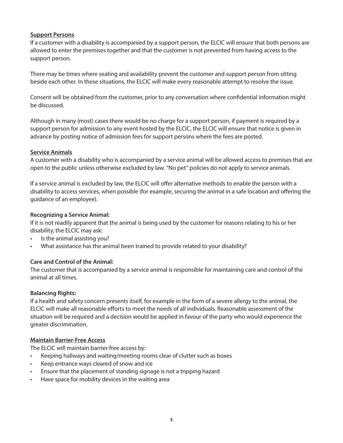#### **Support Persons**

If a customer with a disability is accompanied by a support person, the ELCIC will ensure that both persons are allowed to enter the premises together and that the customer is not prevented from having access to the support person.

There may be times where seating and availability prevent the customer and support person from sitting beside each other. In these situations, the ELCIC will make every reasonable attempt to resolve the issue.

Consent will be obtained from the customer, prior to any conversation where confidential information might be discussed.

Although in many (most) cases there would be no charge for a support person, if payment is required by a support person for admission to any event hosted by the ELCIC, the ELCIC will ensure that notice is given in advance by posting notice of admission fees for support persons where the fees are posted.

#### **Service Animals**

A customer with a disability who is accompanied by a service animal will be allowed access to premises that are open to the public unless otherwise excluded by law. "No pet" policies do not apply to service animals.

If a service animal is excluded by law, the ELCIC will offer alternative methods to enable the person with a disability to access services, when possible (for example, securing the animal in a safe location and offering the guidance of an employee).

#### **Recognizing a Service Animal:**

If it is not readily apparent that the animal is being used by the customer for reasons relating to his or her disability, the ELCIC may ask:

- Is the animal assisting you?
- What assistance has the animal been trained to provide related to your disability?

#### **Care and Control of the Animal:**

The customer that is accompanied by a service animal is responsible for maintaining care and control of the animal at all times.

#### **Balancing Rights:**

If a health and safety concern presents itself, for example in the form of a severe allergy to the animal, the ELCIC will make all reasonable efforts to meet the needs of all individuals. Reasonable assessment of the situation will be required and a decision would be applied in favour of the party who would experience the greater discrimination.

#### **Maintain Barrier-Free Access**

The ELCIC will maintain barrier-free access by:

- Keeping hallways and waiting/meeting rooms clear of clutter such as boxes
- Keep entrance ways cleared of snow and ice
- Ensure that the placement of standing signage is not a tripping hazard
- Have space for mobility devices in the waiting area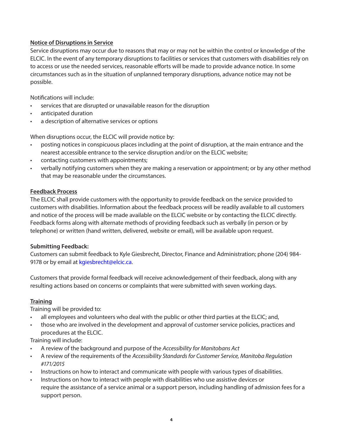#### **Notice of Disruptions in Service**

Service disruptions may occur due to reasons that may or may not be within the control or knowledge of the ELCIC. In the event of any temporary disruptions to facilities or services that customers with disabilities rely on to access or use the needed services, reasonable efforts will be made to provide advance notice. In some circumstances such as in the situation of unplanned temporary disruptions, advance notice may not be possible.

Notifications will include:

- services that are disrupted or unavailable reason for the disruption
- anticipated duration
- a description of alternative services or options

When disruptions occur, the ELCIC will provide notice by:

- posting notices in conspicuous places including at the point of disruption, at the main entrance and the nearest accessible entrance to the service disruption and/or on the ELCIC website;
- contacting customers with appointments;
- verbally notifying customers when they are making a reservation or appointment; or by any other method that may be reasonable under the circumstances.

#### **Feedback Process**

The ELCIC shall provide customers with the opportunity to provide feedback on the service provided to customers with disabilities. Information about the feedback process will be readily available to all customers and notice of the process will be made available on the ELCIC website or by contacting the ELCIC directly. Feedback forms along with alternate methods of providing feedback such as verbally (in person or by telephone) or written (hand written, delivered, website or email), will be available upon request.

#### **Submitting Feedback:**

Customers can submit feedback to Kyle Giesbrecht, Director, Finance and Administration; phone (204) 984- 9178 or by email at kgiesbrecht@elcic.ca.

Customers that provide formal feedback will receive acknowledgement of their feedback, along with any resulting actions based on concerns or complaints that were submitted with seven working days.

#### **Training**

Training will be provided to:

- all employees and volunteers who deal with the public or other third parties at the ELCIC; and,
- those who are involved in the development and approval of customer service policies, practices and procedures at the ELCIC.

Training will include:

- A review of the background and purpose of the *Accessibility for Manitobans Act*
- A review of the requirements of the *Accessibility Standards for Customer Service, Manitoba Regulation #171/2015*
- Instructions on how to interact and communicate with people with various types of disabilities.
- Instructions on how to interact with people with disabilities who use assistive devices or require the assistance of a service animal or a support person, including handling of admission fees for a support person.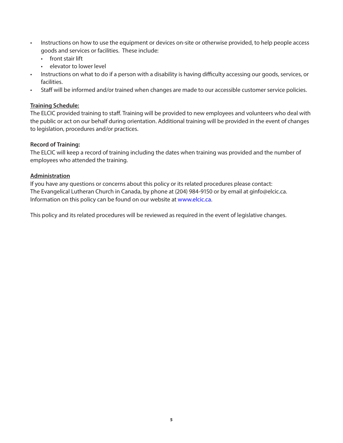- Instructions on how to use the equipment or devices on-site or otherwise provided, to help people access goods and services or facilities. These include:
	- front stair lift
	- elevator to lower level
- Instructions on what to do if a person with a disability is having difficulty accessing our goods, services, or facilities.
- Staff will be informed and/or trained when changes are made to our accessible customer service policies.

#### **Training Schedule:**

The ELCIC provided training to staff. Training will be provided to new employees and volunteers who deal with the public or act on our behalf during orientation. Additional training will be provided in the event of changes to legislation, procedures and/or practices.

#### **Record of Training:**

The ELCIC will keep a record of training including the dates when training was provided and the number of employees who attended the training.

#### **Administration**

If you have any questions or concerns about this policy or its related procedures please contact: The Evangelical Lutheran Church in Canada, by phone at (204) 984-9150 or by email at ginfo@elcic.ca. Information on this policy can be found on our website at www.elcic.ca.

This policy and its related procedures will be reviewed as required in the event of legislative changes.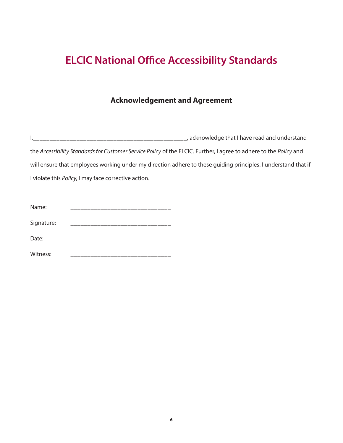### **Acknowledgement and Agreement**

I,\_\_\_\_\_\_\_\_\_\_\_\_\_\_\_\_\_\_\_\_\_\_\_\_\_\_\_\_\_\_\_\_\_\_\_\_\_\_\_\_\_\_\_\_\_\_, acknowledge that I have read and understand the *Accessibility Standards for Customer Service Policy* of the ELCIC. Further, I agree to adhere to the *Policy* and will ensure that employees working under my direction adhere to these guiding principles. I understand that if I violate this *Policy*, I may face corrective action.

| Name:      |  |
|------------|--|
| Signature: |  |
| Date:      |  |
| Witness:   |  |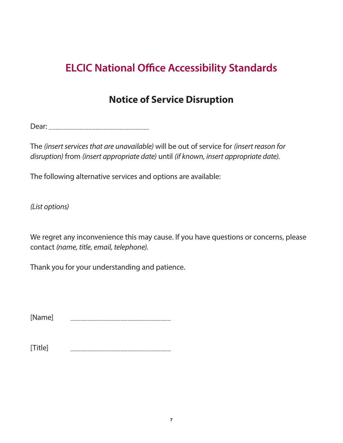## **Notice of Service Disruption**

Dear: \_\_\_\_\_\_\_\_\_\_\_\_\_\_\_\_\_\_\_\_\_\_\_\_\_\_\_\_\_\_

The *(insert services that are unavailable)* will be out of service for *(insert reason for disruption)* from *(insert appropriate date)* until *(if known, insert appropriate date)*.

The following alternative services and options are available:

*(List options)*

We regret any inconvenience this may cause. If you have questions or concerns, please contact *(name, title, email, telephone)*.

Thank you for your understanding and patience.

[Name] \_\_\_\_\_\_\_\_\_\_\_\_\_\_\_\_\_\_\_\_\_\_\_\_\_\_\_\_\_\_

[Title] \_\_\_\_\_\_\_\_\_\_\_\_\_\_\_\_\_\_\_\_\_\_\_\_\_\_\_\_\_\_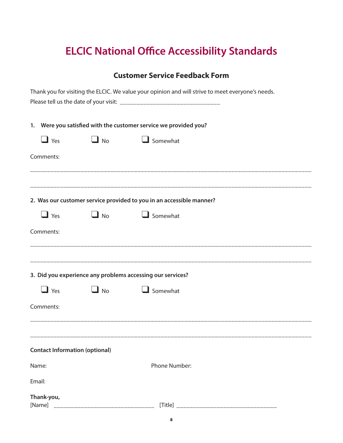### **Customer Service Feedback Form**

| Thank you for visiting the ELCIC. We value your opinion and will strive to meet everyone's needs. |                                                                  |                                       |                                                                      |  |  |
|---------------------------------------------------------------------------------------------------|------------------------------------------------------------------|---------------------------------------|----------------------------------------------------------------------|--|--|
|                                                                                                   | 1. Were you satisfied with the customer service we provided you? |                                       |                                                                      |  |  |
|                                                                                                   | $\mathbf{\square}$ Yes                                           | $\Box$ No                             | $\Box$ Somewhat                                                      |  |  |
|                                                                                                   | Comments:                                                        |                                       |                                                                      |  |  |
|                                                                                                   |                                                                  |                                       | 2. Was our customer service provided to you in an accessible manner? |  |  |
|                                                                                                   | $\Box$ Yes                                                       | $\Box$ No                             | Somewhat                                                             |  |  |
|                                                                                                   | Comments:                                                        |                                       |                                                                      |  |  |
|                                                                                                   |                                                                  |                                       | 3. Did you experience any problems accessing our services?           |  |  |
|                                                                                                   | $\mathbf{\square}$ Yes                                           | $\blacksquare$ No                     | $\Box$ Somewhat                                                      |  |  |
|                                                                                                   | Comments:                                                        |                                       |                                                                      |  |  |
|                                                                                                   |                                                                  |                                       |                                                                      |  |  |
|                                                                                                   |                                                                  | <b>Contact Information (optional)</b> |                                                                      |  |  |
| Name:                                                                                             |                                                                  |                                       | <b>Phone Number:</b>                                                 |  |  |
| Email:                                                                                            |                                                                  |                                       |                                                                      |  |  |
| [Name]                                                                                            | Thank-you,                                                       |                                       |                                                                      |  |  |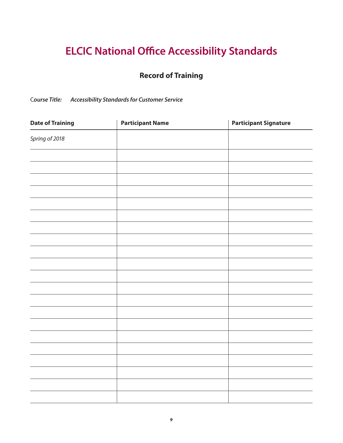### **Record of Training**

C*ourse Title: Accessibility Standards for Customer Service*

| <b>Date of Training</b> | <b>Participant Name</b> | <b>Participant Signature</b> |
|-------------------------|-------------------------|------------------------------|
| Spring of 2018          |                         |                              |
|                         |                         |                              |
|                         |                         |                              |
|                         |                         |                              |
|                         |                         |                              |
|                         |                         |                              |
|                         |                         |                              |
|                         |                         |                              |
|                         |                         |                              |
|                         |                         |                              |
|                         |                         |                              |
|                         |                         |                              |
|                         |                         |                              |
|                         |                         |                              |
|                         |                         |                              |
|                         |                         |                              |
|                         |                         |                              |
|                         |                         |                              |
|                         |                         |                              |
|                         |                         |                              |
|                         |                         |                              |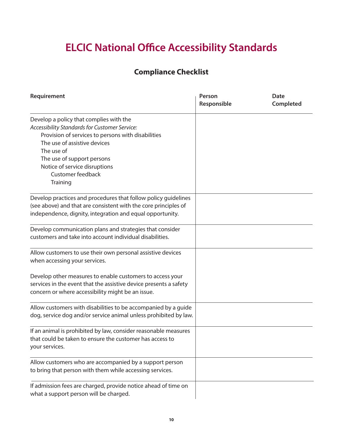### **Compliance Checklist**

| Requirement                                                                              | Person<br>Responsible | <b>Date</b><br>Completed |
|------------------------------------------------------------------------------------------|-----------------------|--------------------------|
| Develop a policy that complies with the<br>Accessibility Standards for Customer Service: |                       |                          |
| Provision of services to persons with disabilities<br>The use of assistive devices       |                       |                          |
| The use of                                                                               |                       |                          |
| The use of support persons                                                               |                       |                          |
| Notice of service disruptions                                                            |                       |                          |
| <b>Customer feedback</b>                                                                 |                       |                          |
| Training                                                                                 |                       |                          |
| Develop practices and procedures that follow policy guidelines                           |                       |                          |
| (see above) and that are consistent with the core principles of                          |                       |                          |
| independence, dignity, integration and equal opportunity.                                |                       |                          |
| Develop communication plans and strategies that consider                                 |                       |                          |
| customers and take into account individual disabilities.                                 |                       |                          |
| Allow customers to use their own personal assistive devices                              |                       |                          |
| when accessing your services.                                                            |                       |                          |
| Develop other measures to enable customers to access your                                |                       |                          |
| services in the event that the assistive device presents a safety                        |                       |                          |
| concern or where accessibility might be an issue.                                        |                       |                          |
| Allow customers with disabilities to be accompanied by a guide                           |                       |                          |
| dog, service dog and/or service animal unless prohibited by law.                         |                       |                          |
| If an animal is prohibited by law, consider reasonable measures                          |                       |                          |
| that could be taken to ensure the customer has access to                                 |                       |                          |
| your services.                                                                           |                       |                          |
| Allow customers who are accompanied by a support person                                  |                       |                          |
| to bring that person with them while accessing services.                                 |                       |                          |
| If admission fees are charged, provide notice ahead of time on                           |                       |                          |
| what a support person will be charged.                                                   |                       |                          |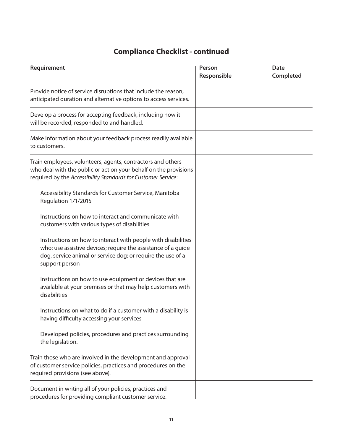### **Compliance Checklist - continued**

| Requirement                                                                                                                                                                                                     | Person<br>Responsible | <b>Date</b><br>Completed |  |
|-----------------------------------------------------------------------------------------------------------------------------------------------------------------------------------------------------------------|-----------------------|--------------------------|--|
| Provide notice of service disruptions that include the reason,<br>anticipated duration and alternative options to access services.                                                                              |                       |                          |  |
| Develop a process for accepting feedback, including how it<br>will be recorded, responded to and handled.                                                                                                       |                       |                          |  |
| Make information about your feedback process readily available<br>to customers.                                                                                                                                 |                       |                          |  |
| Train employees, volunteers, agents, contractors and others<br>who deal with the public or act on your behalf on the provisions<br>required by the Accessibility Standards for Customer Service:                |                       |                          |  |
| Accessibility Standards for Customer Service, Manitoba<br>Regulation 171/2015                                                                                                                                   |                       |                          |  |
| Instructions on how to interact and communicate with<br>customers with various types of disabilities                                                                                                            |                       |                          |  |
| Instructions on how to interact with people with disabilities<br>who: use assistive devices; require the assistance of a guide<br>dog, service animal or service dog; or require the use of a<br>support person |                       |                          |  |
| Instructions on how to use equipment or devices that are<br>available at your premises or that may help customers with<br>disabilities                                                                          |                       |                          |  |
| Instructions on what to do if a customer with a disability is<br>having difficulty accessing your services                                                                                                      |                       |                          |  |
| Developed policies, procedures and practices surrounding<br>the legislation.                                                                                                                                    |                       |                          |  |
| Train those who are involved in the development and approval<br>of customer service policies, practices and procedures on the<br>required provisions (see above).                                               |                       |                          |  |
| Document in writing all of your policies, practices and<br>procedures for providing compliant customer service.                                                                                                 |                       |                          |  |